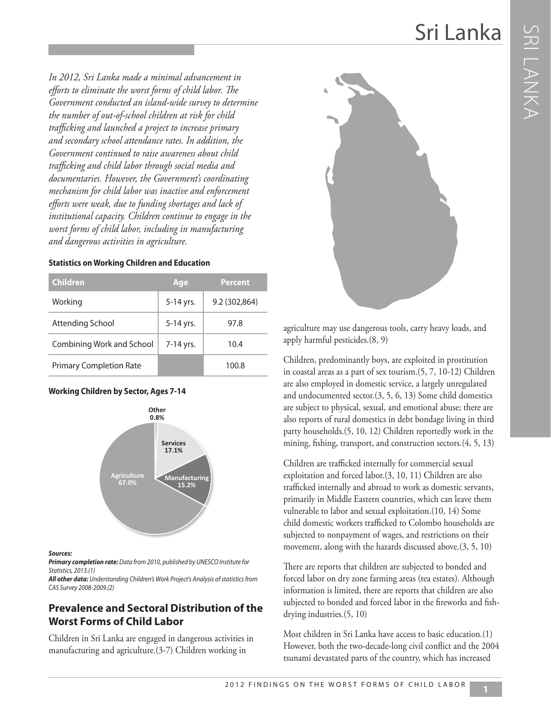*In 2012, Sri Lanka made a minimal advancement in efforts to eliminate the worst forms of child labor. The Government conducted an island-wide survey to determine the number of out-of-school children at risk for child trafficking and launched a project to increase primary and secondary school attendance rates. In addition, the Government continued to raise awareness about child trafficking and child labor through social media and documentaries. However, the Government's coordinating mechanism for child labor was inactive and enforcement efforts were weak, due to funding shortages and lack of institutional capacity. Children continue to engage in the worst forms of child labor, including in manufacturing and dangerous activities in agriculture.* 

| <b>Children</b>                | Age       | <b>Percent</b> |
|--------------------------------|-----------|----------------|
| Working                        | 5-14 yrs. | 9.2 (302,864)  |
| Attending School               | 5-14 yrs. | 97.8           |
| Combining Work and School      | 7-14 yrs. | 10.4           |
| <b>Primary Completion Rate</b> |           | 100.8          |

#### **Working Children by Sector, Ages 7-14**



#### *Sources:*

*Primary completion rate: Data from 2010, published by UNESCO Institute for Statistics, 2013.(1)* 

*All other data: Understanding Children's Work Project's Analysis of statistics from CAS Survey 2008-2009.(2)*

### **Prevalence and Sectoral Distribution of the Worst Forms of Child Labor**

Children in Sri Lanka are engaged in dangerous activities in manufacturing and agriculture.(3-7) Children working in



agriculture may use dangerous tools, carry heavy loads, and apply harmful pesticides.(8, 9)

Children, predominantly boys, are exploited in prostitution in coastal areas as a part of sex tourism.(5, 7, 10-12) Children are also employed in domestic service, a largely unregulated and undocumented sector.(3, 5, 6, 13) Some child domestics are subject to physical, sexual, and emotional abuse; there are also reports of rural domestics in debt bondage living in third party households.(5, 10, 12) Children reportedly work in the mining, fishing, transport, and construction sectors.(4, 5, 13)

Children are trafficked internally for commercial sexual exploitation and forced labor.(3, 10, 11) Children are also trafficked internally and abroad to work as domestic servants, primarily in Middle Eastern countries, which can leave them vulnerable to labor and sexual exploitation.(10, 14) Some child domestic workers trafficked to Colombo households are subjected to nonpayment of wages, and restrictions on their movement, along with the hazards discussed above.(3, 5, 10)

There are reports that children are subjected to bonded and forced labor on dry zone farming areas (tea estates). Although information is limited, there are reports that children are also subjected to bonded and forced labor in the fireworks and fishdrying industries.(5, 10)

Most children in Sri Lanka have access to basic education.(1) However, both the two-decade-long civil conflict and the 2004 tsunami devastated parts of the country, which has increased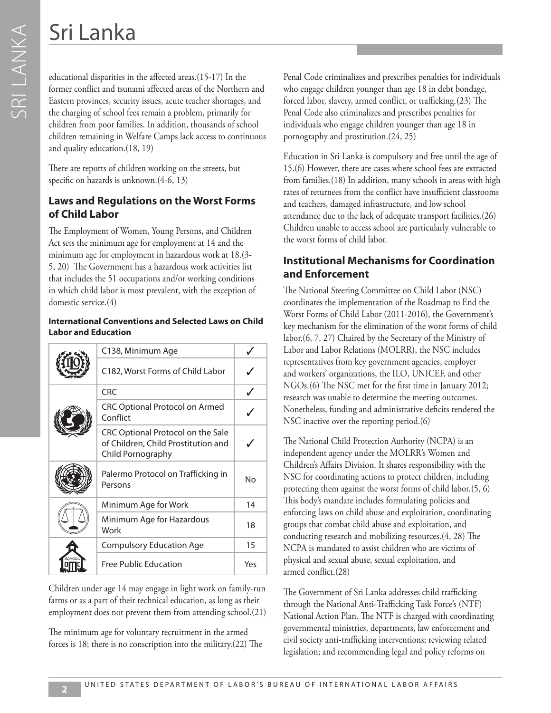educational disparities in the affected areas.(15-17) In the former conflict and tsunami affected areas of the Northern and Eastern provinces, security issues, acute teacher shortages, and the charging of school fees remain a problem, primarily for children from poor families. In addition, thousands of school children remaining in Welfare Camps lack access to continuous and quality education.(18, 19)

There are reports of children working on the streets, but specific on hazards is unknown.(4-6, 13)

## **Laws and Regulations on the Worst Forms of Child Labor**

The Employment of Women, Young Persons, and Children Act sets the minimum age for employment at 14 and the minimum age for employment in hazardous work at 18.(3- 5, 20) The Government has a hazardous work activities list that includes the 51 occupations and/or working conditions in which child labor is most prevalent, with the exception of domestic service.(4)

### **International Conventions and Selected Laws on Child Labor and Education**

|  | C138, Minimum Age                                                                             |     |
|--|-----------------------------------------------------------------------------------------------|-----|
|  | C182, Worst Forms of Child Labor                                                              |     |
|  | <b>CRC</b>                                                                                    |     |
|  | <b>CRC Optional Protocol on Armed</b><br>Conflict                                             |     |
|  | CRC Optional Protocol on the Sale<br>of Children, Child Prostitution and<br>Child Pornography |     |
|  | Palermo Protocol on Trafficking in<br>Persons                                                 | No  |
|  | Minimum Age for Work                                                                          | 14  |
|  | Minimum Age for Hazardous<br>Work                                                             |     |
|  | <b>Compulsory Education Age</b>                                                               | 15  |
|  | Free Public Education                                                                         | Yes |

Children under age 14 may engage in light work on family-run farms or as a part of their technical education, as long as their employment does not prevent them from attending school.(21)

The minimum age for voluntary recruitment in the armed forces is 18; there is no conscription into the military.(22) The Penal Code criminalizes and prescribes penalties for individuals who engage children younger than age 18 in debt bondage, forced labor, slavery, armed conflict, or trafficking.(23) The Penal Code also criminalizes and prescribes penalties for individuals who engage children younger than age 18 in pornography and prostitution.(24, 25)

Education in Sri Lanka is compulsory and free until the age of 15.(6) However, there are cases where school fees are extracted from families.(18) In addition, many schools in areas with high rates of returnees from the conflict have insufficient classrooms and teachers, damaged infrastructure, and low school attendance due to the lack of adequate transport facilities.(26) Children unable to access school are particularly vulnerable to the worst forms of child labor.

# **Institutional Mechanisms for Coordination and Enforcement**

The National Steering Committee on Child Labor (NSC) coordinates the implementation of the Roadmap to End the Worst Forms of Child Labor (2011-2016), the Government's key mechanism for the elimination of the worst forms of child labor.(6, 7, 27) Chaired by the Secretary of the Ministry of Labor and Labor Relations (MOLRR), the NSC includes representatives from key government agencies, employer and workers' organizations, the ILO, UNICEF, and other NGOs.(6) The NSC met for the first time in January 2012; research was unable to determine the meeting outcomes. Nonetheless, funding and administrative deficits rendered the NSC inactive over the reporting period.(6)

The National Child Protection Authority (NCPA) is an independent agency under the MOLRR's Women and Children's Affairs Division. It shares responsibility with the NSC for coordinating actions to protect children, including protecting them against the worst forms of child labor.(5, 6) This body's mandate includes formulating policies and enforcing laws on child abuse and exploitation, coordinating groups that combat child abuse and exploitation, and conducting research and mobilizing resources.(4, 28) The NCPA is mandated to assist children who are victims of physical and sexual abuse, sexual exploitation, and armed conflict.(28)

The Government of Sri Lanka addresses child trafficking through the National Anti-Trafficking Task Force's (NTF) National Action Plan. The NTF is charged with coordinating governmental ministries, departments, law enforcement and civil society anti-trafficking interventions; reviewing related legislation; and recommending legal and policy reforms on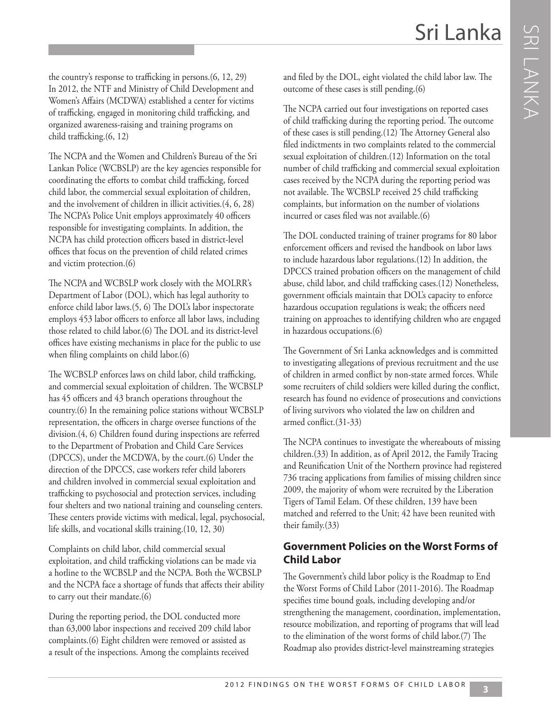the country's response to trafficking in persons.(6, 12, 29) In 2012, the NTF and Ministry of Child Development and Women's Affairs (MCDWA) established a center for victims of trafficking, engaged in monitoring child trafficking, and organized awareness-raising and training programs on child trafficking.(6, 12)

The NCPA and the Women and Children's Bureau of the Sri Lankan Police (WCBSLP) are the key agencies responsible for coordinating the efforts to combat child trafficking, forced child labor, the commercial sexual exploitation of children, and the involvement of children in illicit activities.(4, 6, 28) The NCPA's Police Unit employs approximately 40 officers responsible for investigating complaints. In addition, the NCPA has child protection officers based in district-level offices that focus on the prevention of child related crimes and victim protection.(6)

The NCPA and WCBSLP work closely with the MOLRR's Department of Labor (DOL), which has legal authority to enforce child labor laws.(5, 6) The DOL's labor inspectorate employs 453 labor officers to enforce all labor laws, including those related to child labor.(6) The DOL and its district-level offices have existing mechanisms in place for the public to use when filing complaints on child labor.(6)

The WCBSLP enforces laws on child labor, child trafficking, and commercial sexual exploitation of children. The WCBSLP has 45 officers and 43 branch operations throughout the country.(6) In the remaining police stations without WCBSLP representation, the officers in charge oversee functions of the division.(4, 6) Children found during inspections are referred to the Department of Probation and Child Care Services (DPCCS), under the MCDWA, by the court.(6) Under the direction of the DPCCS, case workers refer child laborers and children involved in commercial sexual exploitation and trafficking to psychosocial and protection services, including four shelters and two national training and counseling centers. These centers provide victims with medical, legal, psychosocial, life skills, and vocational skills training.(10, 12, 30)

Complaints on child labor, child commercial sexual exploitation, and child trafficking violations can be made via a hotline to the WCBSLP and the NCPA. Both the WCBSLP and the NCPA face a shortage of funds that affects their ability to carry out their mandate.(6)

During the reporting period, the DOL conducted more than 63,000 labor inspections and received 209 child labor complaints.(6) Eight children were removed or assisted as a result of the inspections. Among the complaints received

and filed by the DOL, eight violated the child labor law. The outcome of these cases is still pending.(6)

The NCPA carried out four investigations on reported cases of child trafficking during the reporting period. The outcome of these cases is still pending.(12) The Attorney General also filed indictments in two complaints related to the commercial sexual exploitation of children.(12) Information on the total number of child trafficking and commercial sexual exploitation cases received by the NCPA during the reporting period was not available. The WCBSLP received 25 child trafficking complaints, but information on the number of violations incurred or cases filed was not available.(6)

The DOL conducted training of trainer programs for 80 labor enforcement officers and revised the handbook on labor laws to include hazardous labor regulations.(12) In addition, the DPCCS trained probation officers on the management of child abuse, child labor, and child trafficking cases.(12) Nonetheless, government officials maintain that DOL's capacity to enforce hazardous occupation regulations is weak; the officers need training on approaches to identifying children who are engaged in hazardous occupations.(6)

The Government of Sri Lanka acknowledges and is committed to investigating allegations of previous recruitment and the use of children in armed conflict by non-state armed forces. While some recruiters of child soldiers were killed during the conflict, research has found no evidence of prosecutions and convictions of living survivors who violated the law on children and armed conflict.(31-33)

The NCPA continues to investigate the whereabouts of missing children.(33) In addition, as of April 2012, the Family Tracing and Reunification Unit of the Northern province had registered 736 tracing applications from families of missing children since 2009, the majority of whom were recruited by the Liberation Tigers of Tamil Eelam. Of these children, 139 have been matched and referred to the Unit; 42 have been reunited with their family.(33)

### **Government Policies on the Worst Forms of Child Labor**

The Government's child labor policy is the Roadmap to End the Worst Forms of Child Labor (2011-2016). The Roadmap specifies time bound goals, including developing and/or strengthening the management, coordination, implementation, resource mobilization, and reporting of programs that will lead to the elimination of the worst forms of child labor.(7) The Roadmap also provides district-level mainstreaming strategies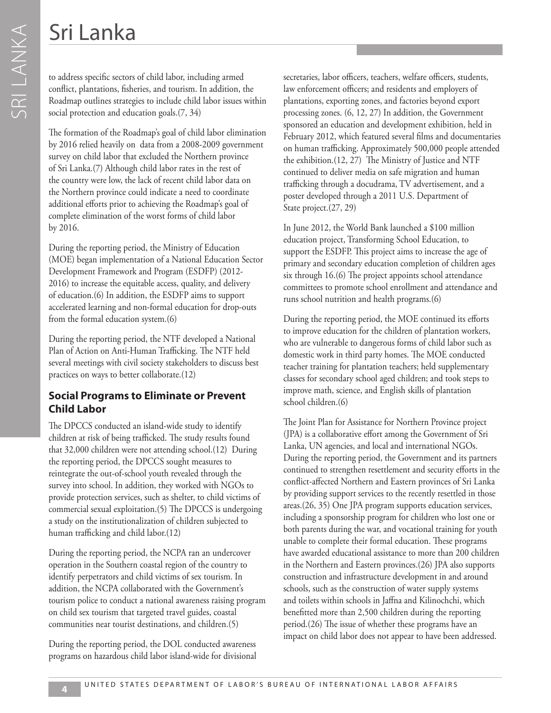to address specific sectors of child labor, including armed conflict, plantations, fisheries, and tourism. In addition, the Roadmap outlines strategies to include child labor issues within social protection and education goals.(7, 34)

The formation of the Roadmap's goal of child labor elimination by 2016 relied heavily on data from a 2008-2009 government survey on child labor that excluded the Northern province of Sri Lanka.(7) Although child labor rates in the rest of the country were low, the lack of recent child labor data on the Northern province could indicate a need to coordinate additional efforts prior to achieving the Roadmap's goal of complete elimination of the worst forms of child labor by 2016.

During the reporting period, the Ministry of Education (MOE) began implementation of a National Education Sector Development Framework and Program (ESDFP) (2012- 2016) to increase the equitable access, quality, and delivery of education.(6) In addition, the ESDFP aims to support accelerated learning and non-formal education for drop-outs from the formal education system.(6)

During the reporting period, the NTF developed a National Plan of Action on Anti-Human Trafficking. The NTF held several meetings with civil society stakeholders to discuss best practices on ways to better collaborate.(12)

## **Social Programs to Eliminate or Prevent Child Labor**

The DPCCS conducted an island-wide study to identify children at risk of being trafficked. The study results found that 32,000 children were not attending school.(12) During the reporting period, the DPCCS sought measures to reintegrate the out-of-school youth revealed through the survey into school. In addition, they worked with NGOs to provide protection services, such as shelter, to child victims of commercial sexual exploitation.(5) The DPCCS is undergoing a study on the institutionalization of children subjected to human trafficking and child labor.(12)

During the reporting period, the NCPA ran an undercover operation in the Southern coastal region of the country to identify perpetrators and child victims of sex tourism. In addition, the NCPA collaborated with the Government's tourism police to conduct a national awareness raising program on child sex tourism that targeted travel guides, coastal communities near tourist destinations, and children.(5)

During the reporting period, the DOL conducted awareness programs on hazardous child labor island-wide for divisional secretaries, labor officers, teachers, welfare officers, students, law enforcement officers; and residents and employers of plantations, exporting zones, and factories beyond export processing zones. (6, 12, 27) In addition, the Government sponsored an education and development exhibition, held in February 2012, which featured several films and documentaries on human trafficking. Approximately 500,000 people attended the exhibition.(12, 27) The Ministry of Justice and NTF continued to deliver media on safe migration and human trafficking through a docudrama, TV advertisement, and a poster developed through a 2011 U.S. Department of State project.(27, 29)

In June 2012, the World Bank launched a \$100 million education project, Transforming School Education, to support the ESDFP. This project aims to increase the age of primary and secondary education completion of children ages six through 16.(6) The project appoints school attendance committees to promote school enrollment and attendance and runs school nutrition and health programs.(6)

During the reporting period, the MOE continued its efforts to improve education for the children of plantation workers, who are vulnerable to dangerous forms of child labor such as domestic work in third party homes. The MOE conducted teacher training for plantation teachers; held supplementary classes for secondary school aged children; and took steps to improve math, science, and English skills of plantation school children.(6)

The Joint Plan for Assistance for Northern Province project (JPA) is a collaborative effort among the Government of Sri Lanka, UN agencies, and local and international NGOs. During the reporting period, the Government and its partners continued to strengthen resettlement and security efforts in the conflict-affected Northern and Eastern provinces of Sri Lanka by providing support services to the recently resettled in those areas.(26, 35) One JPA program supports education services, including a sponsorship program for children who lost one or both parents during the war, and vocational training for youth unable to complete their formal education. These programs have awarded educational assistance to more than 200 children in the Northern and Eastern provinces.(26) JPA also supports construction and infrastructure development in and around schools, such as the construction of water supply systems and toilets within schools in Jaffna and Kilinochchi, which benefitted more than 2,500 children during the reporting period.(26) The issue of whether these programs have an impact on child labor does not appear to have been addressed.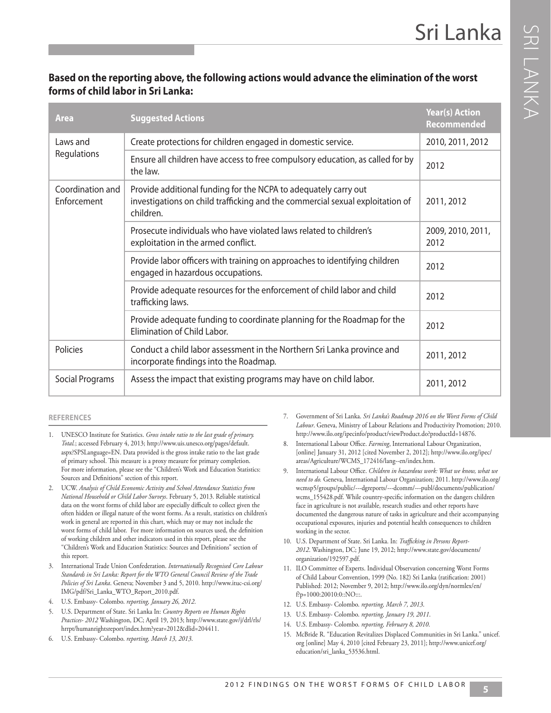**RILANKA** 

## **Based on the reporting above, the following actions would advance the elimination of the worst forms of child labor in Sri Lanka:**

| <b>Area</b>                                                                                                                                                                                      | <b>Suggested Actions</b>                                                                                          | <b>Year(s) Action</b><br><b>Recommended</b> |
|--------------------------------------------------------------------------------------------------------------------------------------------------------------------------------------------------|-------------------------------------------------------------------------------------------------------------------|---------------------------------------------|
| Laws and<br>Regulations                                                                                                                                                                          | Create protections for children engaged in domestic service.                                                      | 2010, 2011, 2012                            |
|                                                                                                                                                                                                  | Ensure all children have access to free compulsory education, as called for by<br>the law.                        | 2012                                        |
| Coordination and<br>Provide additional funding for the NCPA to adequately carry out<br>investigations on child trafficking and the commercial sexual exploitation of<br>Enforcement<br>children. |                                                                                                                   | 2011, 2012                                  |
|                                                                                                                                                                                                  | Prosecute individuals who have violated laws related to children's<br>exploitation in the armed conflict.         | 2009, 2010, 2011,<br>2012                   |
|                                                                                                                                                                                                  | Provide labor officers with training on approaches to identifying children<br>engaged in hazardous occupations.   | 2012                                        |
|                                                                                                                                                                                                  | Provide adequate resources for the enforcement of child labor and child<br>trafficking laws.                      | 2012                                        |
|                                                                                                                                                                                                  | Provide adequate funding to coordinate planning for the Roadmap for the<br>Elimination of Child Labor.            | 2012                                        |
| Policies                                                                                                                                                                                         | Conduct a child labor assessment in the Northern Sri Lanka province and<br>incorporate findings into the Roadmap. | 2011, 2012                                  |
| Social Programs                                                                                                                                                                                  | Assess the impact that existing programs may have on child labor.                                                 | 2011, 2012                                  |

#### **REFERENCES**

- 1. UNESCO Institute for Statistics. *Gross intake ratio to the last grade of primary. Total.*; accessed February 4, 2013; http://www.uis.unesco.org/pages/default. aspx?SPSLanguage=EN. Data provided is the gross intake ratio to the last grade of primary school. This measure is a proxy measure for primary completion. For more information, please see the "Children's Work and Education Statistics: Sources and Definitions" section of this report.
- 2. UCW. *Analysis of Child Economic Activity and School Attendance Statistics from National Household or Child Labor Surveys*. February 5, 2013. Reliable statistical data on the worst forms of child labor are especially difficult to collect given the often hidden or illegal nature of the worst forms. As a result, statistics on children's work in general are reported in this chart, which may or may not include the worst forms of child labor. For more information on sources used, the definition of working children and other indicators used in this report, please see the "Children's Work and Education Statistics: Sources and Definitions" section of this report.
- 3. International Trade Union Confederation. *Internationally Recognised Core Labour Standards in Sri Lanka: Report for the WTO General Council Review of the Trade Policies of Sri Lanka*. Geneva; November 3 and 5, 2010. http://www.ituc-csi.org/ IMG/pdf/Sri\_Lanka\_WTO\_Report\_2010.pdf.
- 4. U.S. Embassy- Colombo. *reporting, January 26, 2012*.
- 5. U.S. Department of State. Sri Lanka In: *Country Reports on Human Rights Practices- 2012* Washington, DC; April 19, 2013; http://www.state.gov/j/drl/rls/ hrrpt/humanrightsreport/index.htm?year=2012&dlid=204411.
- 6. U.S. Embassy- Colombo. *reporting, March 13, 2013*.
- 7. Government of Sri Lanka. *Sri Lanka's Roadmap 2016 on the Worst Forms of Child Labour*. Geneva, Ministry of Labour Relations and Productivity Promotion; 2010. http://www.ilo.org/ipecinfo/product/viewProduct.do?productId=14876.
- 8. International Labour Office. *Farming*, International Labour Organization, [online] January 31, 2012 [cited November 2, 2012]; http://www.ilo.org/ipec/ areas/Agriculture/WCMS\_172416/lang--en/index.htm.
- 9. International Labour Office. *Children in hazardous work: What we know, what we need to do.* Geneva, International Labour Organization; 2011. http://www.ilo.org/ wcmsp5/groups/public/---dgreports/---dcomm/---publ/documents/publication/ wcms 155428.pdf. While country-specific information on the dangers children face in agriculture is not available, research studies and other reports have documented the dangerous nature of tasks in agriculture and their accompanying occupational exposures, injuries and potential health consequences to children working in the sector.
- 10. U.S. Department of State. Sri Lanka. In: *Trafficking in Persons Report-2012*. Washington, DC; June 19, 2012; http://www.state.gov/documents/ organization/192597.pdf.
- 11. ILO Committee of Experts. Individual Observation concerning Worst Forms of Child Labour Convention, 1999 (No. 182) Sri Lanka (ratification: 2001) Published: 2012; November 9, 2012; http://www.ilo.org/dyn/normlex/en/ f?p=1000:20010:0::NO:::.
- 12. U.S. Embassy- Colombo. *reporting, March 7, 2013*.
- 13. U.S. Embassy- Colombo. *reporting, January 19, 2011*.
- 14. U.S. Embassy- Colombo. *reporting, February 8, 2010*.
- 15. McBride R. "Education Revitalizes Displaced Communities in Sri Lanka." unicef. org [online] May 4, 2010 [cited February 23, 2011]; http://www.unicef.org/ education/sri\_lanka\_53536.html.